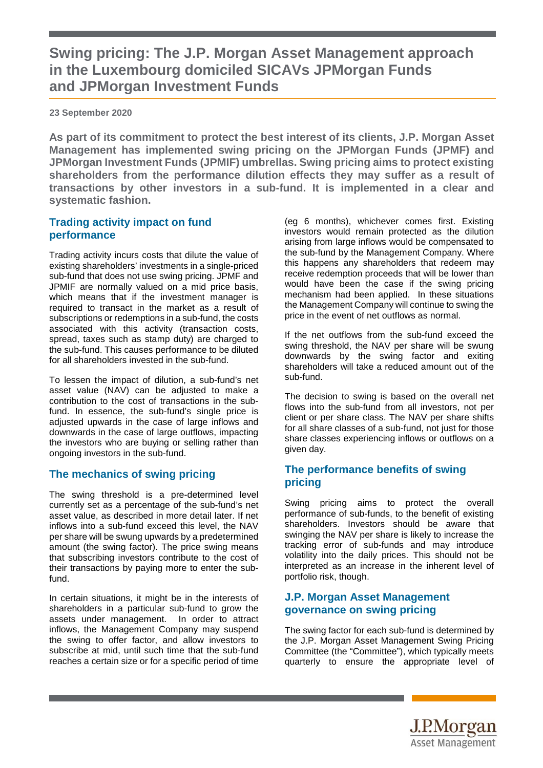# **Swing pricing: The J.P. Morgan Asset Management approach in the Luxembourg domiciled SICAVs JPMorgan Funds and JPMorgan Investment Funds**

**23 September 2020** 

**As part of its commitment to protect the best interest of its clients, J.P. Morgan Asset Management has implemented swing pricing on the JPMorgan Funds (JPMF) and JPMorgan Investment Funds (JPMIF) umbrellas. Swing pricing aims to protect existing shareholders from the performance dilution effects they may suffer as a result of transactions by other investors in a sub-fund. It is implemented in a clear and systematic fashion.** 

### **Trading activity impact on fund performance**

Trading activity incurs costs that dilute the value of existing shareholders' investments in a single-priced sub-fund that does not use swing pricing. JPMF and JPMIF are normally valued on a mid price basis, which means that if the investment manager is required to transact in the market as a result of subscriptions or redemptions in a sub-fund, the costs associated with this activity (transaction costs, spread, taxes such as stamp duty) are charged to the sub-fund. This causes performance to be diluted for all shareholders invested in the sub-fund.

To lessen the impact of dilution, a sub-fund's net asset value (NAV) can be adjusted to make a contribution to the cost of transactions in the subfund. In essence, the sub-fund's single price is adjusted upwards in the case of large inflows and downwards in the case of large outflows, impacting the investors who are buying or selling rather than ongoing investors in the sub-fund.

## **The mechanics of swing pricing**

The swing threshold is a pre-determined level currently set as a percentage of the sub-fund's net asset value, as described in more detail later. If net inflows into a sub-fund exceed this level, the NAV per share will be swung upwards by a predetermined amount (the swing factor). The price swing means that subscribing investors contribute to the cost of their transactions by paying more to enter the subfund.

In certain situations, it might be in the interests of shareholders in a particular sub-fund to grow the assets under management. In order to attract inflows, the Management Company may suspend the swing to offer factor, and allow investors to subscribe at mid, until such time that the sub-fund reaches a certain size or for a specific period of time (eg 6 months), whichever comes first. Existing investors would remain protected as the dilution arising from large inflows would be compensated to the sub-fund by the Management Company. Where this happens any shareholders that redeem may receive redemption proceeds that will be lower than would have been the case if the swing pricing mechanism had been applied. In these situations the Management Company will continue to swing the price in the event of net outflows as normal.

If the net outflows from the sub-fund exceed the swing threshold, the NAV per share will be swung downwards by the swing factor and exiting shareholders will take a reduced amount out of the sub-fund.

The decision to swing is based on the overall net flows into the sub-fund from all investors, not per client or per share class. The NAV per share shifts for all share classes of a sub-fund, not just for those share classes experiencing inflows or outflows on a given day.

#### **The performance benefits of swing pricing**

Swing pricing aims to protect the overall performance of sub-funds, to the benefit of existing shareholders. Investors should be aware that swinging the NAV per share is likely to increase the tracking error of sub-funds and may introduce volatility into the daily prices. This should not be interpreted as an increase in the inherent level of portfolio risk, though.

#### **J.P. Morgan Asset Management governance on swing pricing**

The swing factor for each sub-fund is determined by the J.P. Morgan Asset Management Swing Pricing Committee (the "Committee"), which typically meets quarterly to ensure the appropriate level of